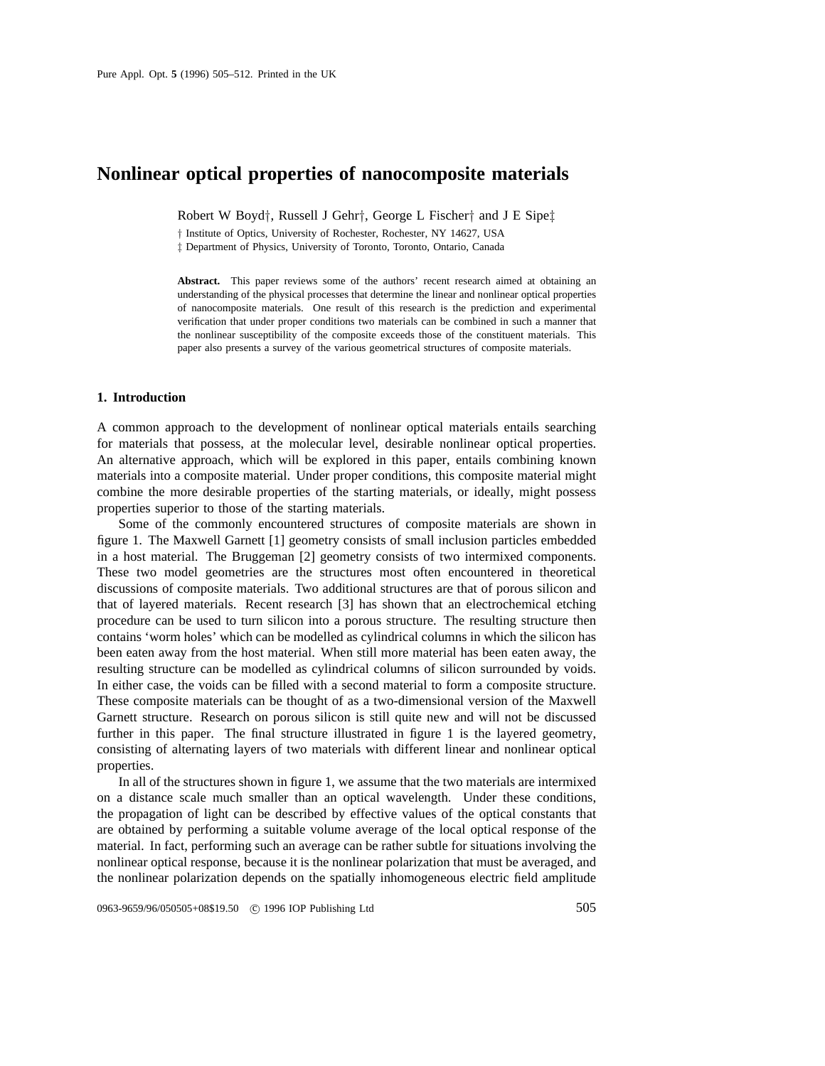# **Nonlinear optical properties of nanocomposite materials**

Robert W Boyd*†*, Russell J Gehr*†*, George L Fischer*†* and J E Sipe*‡*

*†* Institute of Optics, University of Rochester, Rochester, NY 14627, USA *‡* Department of Physics, University of Toronto, Toronto, Ontario, Canada

Abstract. This paper reviews some of the authors' recent research aimed at obtaining an understanding of the physical processes that determine the linear and nonlinear optical properties of nanocomposite materials. One result of this research is the prediction and experimental verification that under proper conditions two materials can be combined in such a manner that the nonlinear susceptibility of the composite exceeds those of the constituent materials. This paper also presents a survey of the various geometrical structures of composite materials.

## **1. Introduction**

A common approach to the development of nonlinear optical materials entails searching for materials that possess, at the molecular level, desirable nonlinear optical properties. An alternative approach, which will be explored in this paper, entails combining known materials into a composite material. Under proper conditions, this composite material might combine the more desirable properties of the starting materials, or ideally, might possess properties superior to those of the starting materials.

Some of the commonly encountered structures of composite materials are shown in figure 1. The Maxwell Garnett [1] geometry consists of small inclusion particles embedded in a host material. The Bruggeman [2] geometry consists of two intermixed components. These two model geometries are the structures most often encountered in theoretical discussions of composite materials. Two additional structures are that of porous silicon and that of layered materials. Recent research [3] has shown that an electrochemical etching procedure can be used to turn silicon into a porous structure. The resulting structure then contains 'worm holes' which can be modelled as cylindrical columns in which the silicon has been eaten away from the host material. When still more material has been eaten away, the resulting structure can be modelled as cylindrical columns of silicon surrounded by voids. In either case, the voids can be filled with a second material to form a composite structure. These composite materials can be thought of as a two-dimensional version of the Maxwell Garnett structure. Research on porous silicon is still quite new and will not be discussed further in this paper. The final structure illustrated in figure 1 is the layered geometry, consisting of alternating layers of two materials with different linear and nonlinear optical properties.

In all of the structures shown in figure 1, we assume that the two materials are intermixed on a distance scale much smaller than an optical wavelength. Under these conditions, the propagation of light can be described by effective values of the optical constants that are obtained by performing a suitable volume average of the local optical response of the material. In fact, performing such an average can be rather subtle for situations involving the nonlinear optical response, because it is the nonlinear polarization that must be averaged, and the nonlinear polarization depends on the spatially inhomogeneous electric field amplitude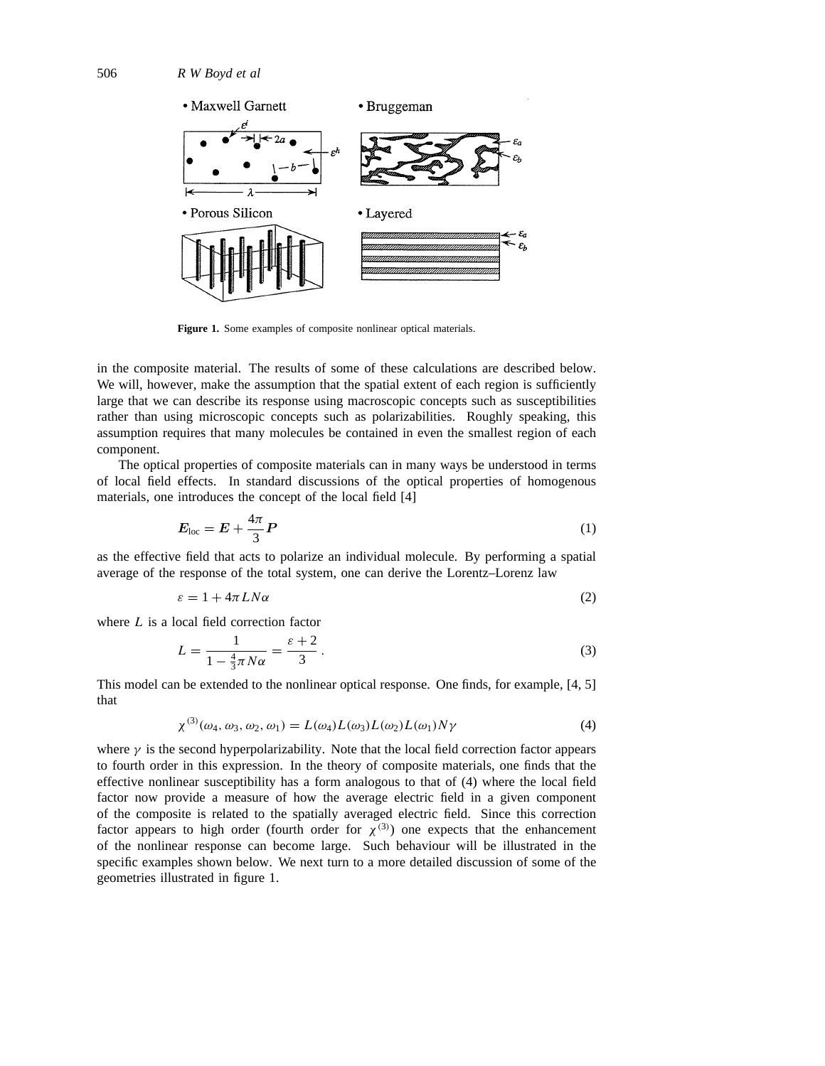

**Figure 1.** Some examples of composite nonlinear optical materials.

in the composite material. The results of some of these calculations are described below. We will, however, make the assumption that the spatial extent of each region is sufficiently large that we can describe its response using macroscopic concepts such as susceptibilities rather than using microscopic concepts such as polarizabilities. Roughly speaking, this assumption requires that many molecules be contained in even the smallest region of each component.

The optical properties of composite materials can in many ways be understood in terms of local field effects. In standard discussions of the optical properties of homogenous materials, one introduces the concept of the local field [4]

$$
E_{\rm loc} = E + \frac{4\pi}{3} P \tag{1}
$$

as the effective field that acts to polarize an individual molecule. By performing a spatial average of the response of the total system, one can derive the Lorentz–Lorenz law

$$
\varepsilon = 1 + 4\pi L N \alpha \tag{2}
$$

where *L* is a local field correction factor

$$
L = \frac{1}{1 - \frac{4}{3}\pi N\alpha} = \frac{\varepsilon + 2}{3}.
$$
\n(3)

This model can be extended to the nonlinear optical response. One finds, for example, [4, 5] that

$$
\chi^{(3)}(\omega_4, \omega_3, \omega_2, \omega_1) = L(\omega_4) L(\omega_3) L(\omega_2) L(\omega_1) N \gamma \tag{4}
$$

where  $\gamma$  is the second hyperpolarizability. Note that the local field correction factor appears to fourth order in this expression. In the theory of composite materials, one finds that the effective nonlinear susceptibility has a form analogous to that of (4) where the local field factor now provide a measure of how the average electric field in a given component of the composite is related to the spatially averaged electric field. Since this correction factor appears to high order (fourth order for  $\chi$ <sup>(3)</sup>) one expects that the enhancement of the nonlinear response can become large. Such behaviour will be illustrated in the specific examples shown below. We next turn to a more detailed discussion of some of the geometries illustrated in figure 1.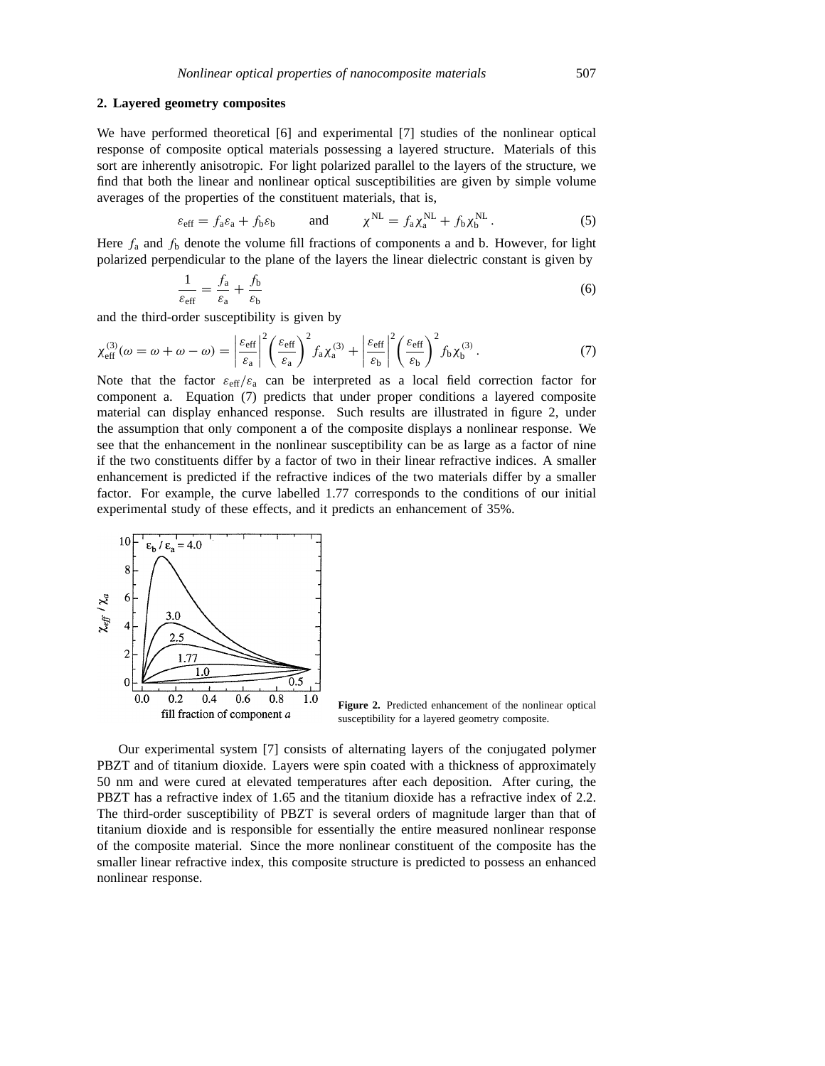# **2. Layered geometry composites**

We have performed theoretical [6] and experimental [7] studies of the nonlinear optical response of composite optical materials possessing a layered structure. Materials of this sort are inherently anisotropic. For light polarized parallel to the layers of the structure, we find that both the linear and nonlinear optical susceptibilities are given by simple volume averages of the properties of the constituent materials, that is,

$$
\varepsilon_{\rm eff} = f_a \varepsilon_a + f_b \varepsilon_b \qquad \text{and} \qquad \chi^{\rm NL} = f_a \chi_a^{\rm NL} + f_b \chi_b^{\rm NL} \,. \tag{5}
$$

Here  $f_a$  and  $f_b$  denote the volume fill fractions of components a and b. However, for light polarized perpendicular to the plane of the layers the linear dielectric constant is given by

$$
\frac{1}{\varepsilon_{\text{eff}}} = \frac{f_a}{\varepsilon_a} + \frac{f_b}{\varepsilon_b} \tag{6}
$$

and the third-order susceptibility is given by

$$
\chi_{\rm eff}^{(3)}(\omega = \omega + \omega - \omega) = \left| \frac{\varepsilon_{\rm eff}}{\varepsilon_{\rm a}} \right|^2 \left( \frac{\varepsilon_{\rm eff}}{\varepsilon_{\rm a}} \right)^2 f_{\rm a} \chi_{\rm a}^{(3)} + \left| \frac{\varepsilon_{\rm eff}}{\varepsilon_{\rm b}} \right|^2 \left( \frac{\varepsilon_{\rm eff}}{\varepsilon_{\rm b}} \right)^2 f_{\rm b} \chi_{\rm b}^{(3)} . \tag{7}
$$

Note that the factor  $\varepsilon_{\text{eff}}/\varepsilon_a$  can be interpreted as a local field correction factor for component a. Equation (7) predicts that under proper conditions a layered composite material can display enhanced response. Such results are illustrated in figure 2, under the assumption that only component a of the composite displays a nonlinear response. We see that the enhancement in the nonlinear susceptibility can be as large as a factor of nine if the two constituents differ by a factor of two in their linear refractive indices. A smaller enhancement is predicted if the refractive indices of the two materials differ by a smaller factor. For example, the curve labelled 1.77 corresponds to the conditions of our initial experimental study of these effects, and it predicts an enhancement of 35%.



**Figure 2.** Predicted enhancement of the nonlinear optical susceptibility for a layered geometry composite.

Our experimental system [7] consists of alternating layers of the conjugated polymer PBZT and of titanium dioxide. Layers were spin coated with a thickness of approximately 50 nm and were cured at elevated temperatures after each deposition. After curing, the PBZT has a refractive index of 1.65 and the titanium dioxide has a refractive index of 2.2. The third-order susceptibility of PBZT is several orders of magnitude larger than that of titanium dioxide and is responsible for essentially the entire measured nonlinear response of the composite material. Since the more nonlinear constituent of the composite has the smaller linear refractive index, this composite structure is predicted to possess an enhanced nonlinear response.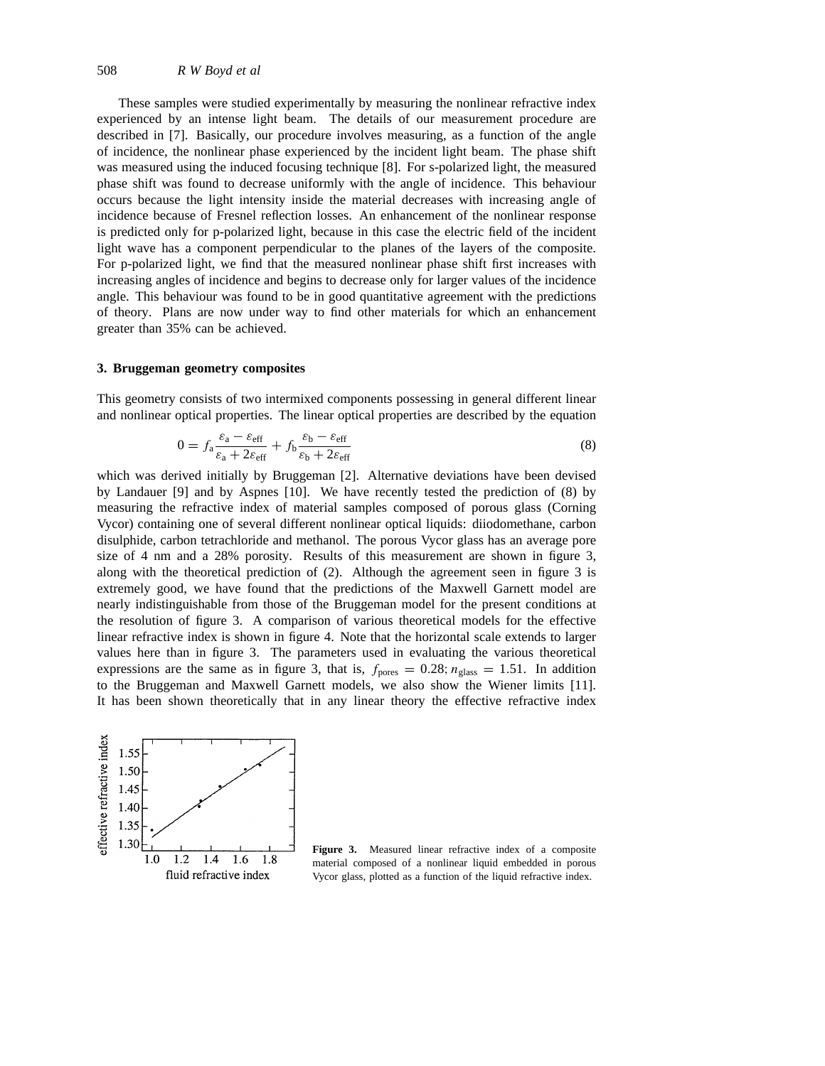These samples were studied experimentally by measuring the nonlinear refractive index experienced by an intense light beam. The details of our measurement procedure are described in [7]. Basically, our procedure involves measuring, as a function of the angle of incidence, the nonlinear phase experienced by the incident light beam. The phase shift was measured using the induced focusing technique [8]. For s-polarized light, the measured phase shift was found to decrease uniformly with the angle of incidence. This behaviour occurs because the light intensity inside the material decreases with increasing angle of incidence because of Fresnel reflection losses. An enhancement of the nonlinear response is predicted only for p-polarized light, because in this case the electric field of the incident light wave has a component perpendicular to the planes of the layers of the composite. For p-polarized light, we find that the measured nonlinear phase shift first increases with increasing angles of incidence and begins to decrease only for larger values of the incidence angle. This behaviour was found to be in good quantitative agreement with the predictions of theory. Plans are now under way to find other materials for which an enhancement greater than 35% can be achieved.

## **3. Bruggeman geometry composites**

This geometry consists of two intermixed components possessing in general different linear and nonlinear optical properties. The linear optical properties are described by the equation

$$
0 = f_a \frac{\varepsilon_a - \varepsilon_{\text{eff}}}{\varepsilon_a + 2\varepsilon_{\text{eff}}} + f_b \frac{\varepsilon_b - \varepsilon_{\text{eff}}}{\varepsilon_b + 2\varepsilon_{\text{eff}}}
$$
(8)

which was derived initially by Bruggeman [2]. Alternative deviations have been devised by Landauer [9] and by Aspnes [10]. We have recently tested the prediction of (8) by measuring the refractive index of material samples composed of porous glass (Corning Vycor) containing one of several different nonlinear optical liquids: diiodomethane, carbon disulphide, carbon tetrachloride and methanol. The porous Vycor glass has an average pore size of 4 nm and a 28% porosity. Results of this measurement are shown in figure 3, along with the theoretical prediction of (2). Although the agreement seen in figure 3 is extremely good, we have found that the predictions of the Maxwell Garnett model are nearly indistinguishable from those of the Bruggeman model for the present conditions at the resolution of figure 3. A comparison of various theoretical models for the effective linear refractive index is shown in figure 4. Note that the horizontal scale extends to larger values here than in figure 3. The parameters used in evaluating the various theoretical expressions are the same as in figure 3, that is,  $f_{\text{pores}} = 0.28$ ;  $n_{\text{glass}} = 1.51$ . In addition to the Bruggeman and Maxwell Garnett models, we also show the Wiener limits [11]. It has been shown theoretically that in any linear theory the effective refractive index



**Figure 3.** Measured linear refractive index of a composite material composed of a nonlinear liquid embedded in porous Vycor glass, plotted as a function of the liquid refractive index.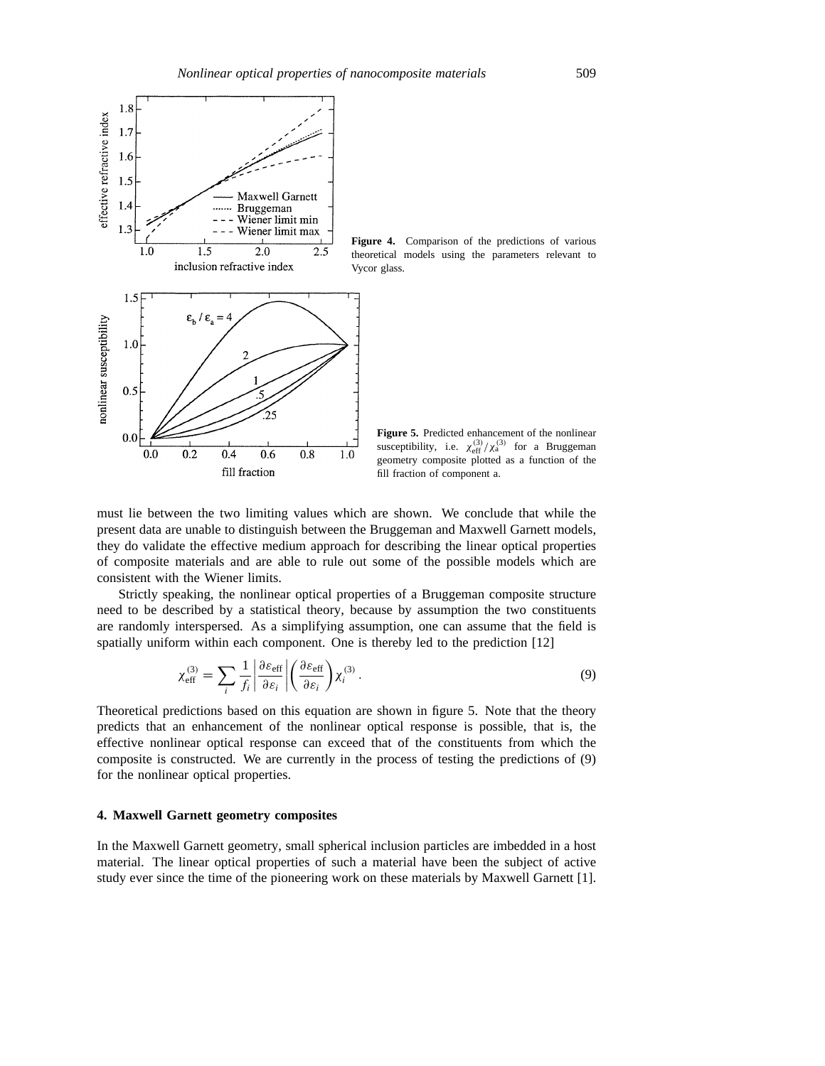

must lie between the two limiting values which are shown. We conclude that while the present data are unable to distinguish between the Bruggeman and Maxwell Garnett models, they do validate the effective medium approach for describing the linear optical properties of composite materials and are able to rule out some of the possible models which are consistent with the Wiener limits.

Strictly speaking, the nonlinear optical properties of a Bruggeman composite structure need to be described by a statistical theory, because by assumption the two constituents are randomly interspersed. As a simplifying assumption, one can assume that the field is spatially uniform within each component. One is thereby led to the prediction [12]

$$
\chi_{\rm eff}^{(3)} = \sum_{i} \frac{1}{f_i} \left| \frac{\partial \varepsilon_{\rm eff}}{\partial \varepsilon_i} \right| \left( \frac{\partial \varepsilon_{\rm eff}}{\partial \varepsilon_i} \right) \chi_i^{(3)}.
$$
\n(9)

Theoretical predictions based on this equation are shown in figure 5. Note that the theory predicts that an enhancement of the nonlinear optical response is possible, that is, the effective nonlinear optical response can exceed that of the constituents from which the composite is constructed. We are currently in the process of testing the predictions of (9) for the nonlinear optical properties.

#### **4. Maxwell Garnett geometry composites**

In the Maxwell Garnett geometry, small spherical inclusion particles are imbedded in a host material. The linear optical properties of such a material have been the subject of active study ever since the time of the pioneering work on these materials by Maxwell Garnett [1].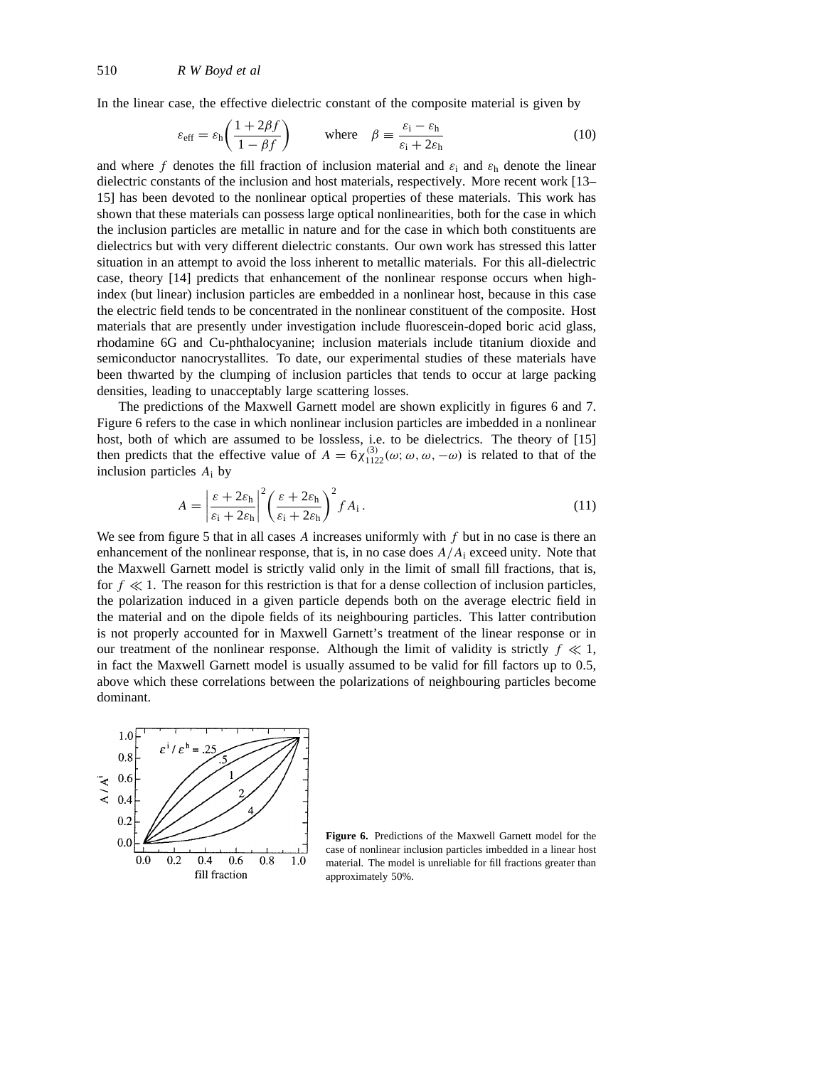In the linear case, the effective dielectric constant of the composite material is given by

$$
\varepsilon_{\rm eff} = \varepsilon_{\rm h} \left( \frac{1 + 2\beta f}{1 - \beta f} \right) \qquad \text{where} \quad \beta \equiv \frac{\varepsilon_{\rm i} - \varepsilon_{\rm h}}{\varepsilon_{\rm i} + 2\varepsilon_{\rm h}} \tag{10}
$$

and where *f* denotes the fill fraction of inclusion material and  $\varepsilon_i$  and  $\varepsilon_b$  denote the linear dielectric constants of the inclusion and host materials, respectively. More recent work [13– 15] has been devoted to the nonlinear optical properties of these materials. This work has shown that these materials can possess large optical nonlinearities, both for the case in which the inclusion particles are metallic in nature and for the case in which both constituents are dielectrics but with very different dielectric constants. Our own work has stressed this latter situation in an attempt to avoid the loss inherent to metallic materials. For this all-dielectric case, theory [14] predicts that enhancement of the nonlinear response occurs when highindex (but linear) inclusion particles are embedded in a nonlinear host, because in this case the electric field tends to be concentrated in the nonlinear constituent of the composite. Host materials that are presently under investigation include fluorescein-doped boric acid glass, rhodamine 6G and Cu-phthalocyanine; inclusion materials include titanium dioxide and semiconductor nanocrystallites. To date, our experimental studies of these materials have been thwarted by the clumping of inclusion particles that tends to occur at large packing densities, leading to unacceptably large scattering losses.

The predictions of the Maxwell Garnett model are shown explicitly in figures 6 and 7. Figure 6 refers to the case in which nonlinear inclusion particles are imbedded in a nonlinear host, both of which are assumed to be lossless, i.e. to be dielectrics. The theory of [15] then predicts that the effective value of  $A = 6\chi_{1122}^{(3)}(\omega; \omega, \omega, -\omega)$  is related to that of the inclusion particles *A*<sup>i</sup> by

$$
A = \left| \frac{\varepsilon + 2\varepsilon_{\rm h}}{\varepsilon_{\rm i} + 2\varepsilon_{\rm h}} \right|^2 \left( \frac{\varepsilon + 2\varepsilon_{\rm h}}{\varepsilon_{\rm i} + 2\varepsilon_{\rm h}} \right)^2 f A_{\rm i} \,. \tag{11}
$$

We see from figure 5 that in all cases *A* increases uniformly with *f* but in no case is there an enhancement of the nonlinear response, that is, in no case does  $A/A_i$  exceed unity. Note that the Maxwell Garnett model is strictly valid only in the limit of small fill fractions, that is, for  $f \ll 1$ . The reason for this restriction is that for a dense collection of inclusion particles, the polarization induced in a given particle depends both on the average electric field in the material and on the dipole fields of its neighbouring particles. This latter contribution is not properly accounted for in Maxwell Garnett's treatment of the linear response or in our treatment of the nonlinear response. Although the limit of validity is strictly  $f \ll 1$ , in fact the Maxwell Garnett model is usually assumed to be valid for fill factors up to 0.5, above which these correlations between the polarizations of neighbouring particles become dominant.



**Figure 6.** Predictions of the Maxwell Garnett model for the case of nonlinear inclusion particles imbedded in a linear host material. The model is unreliable for fill fractions greater than approximately 50%.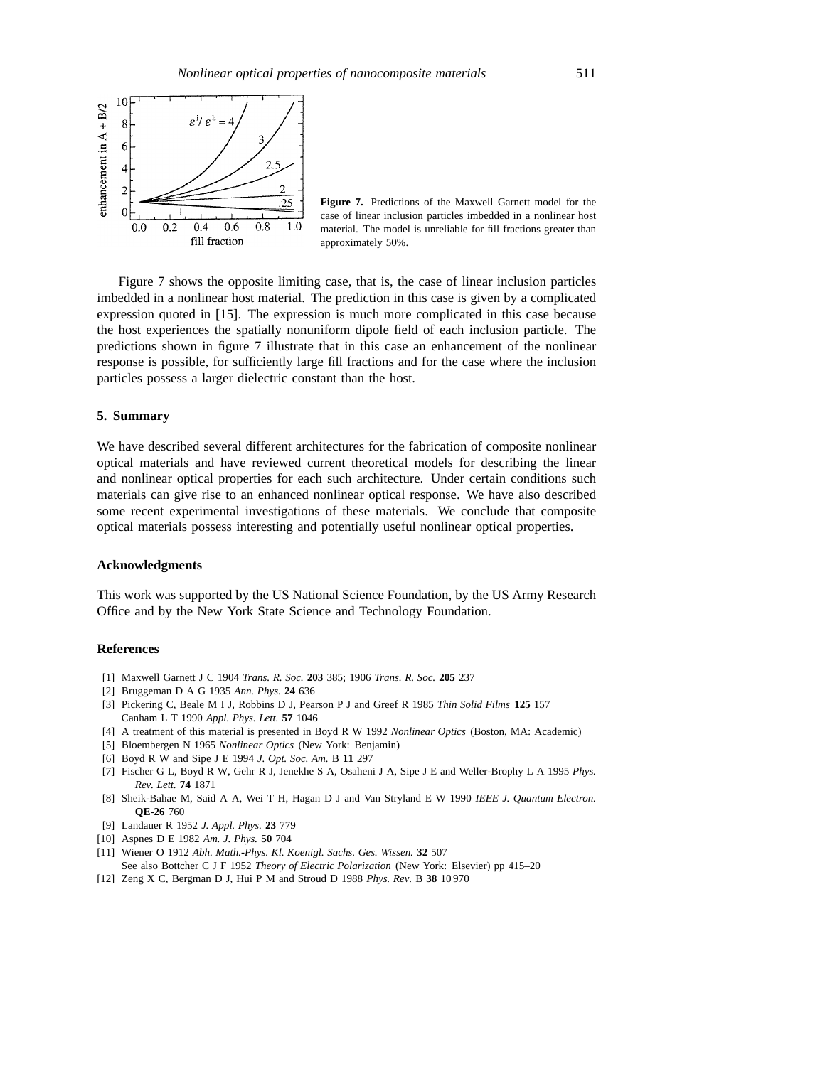

**Figure 7.** Predictions of the Maxwell Garnett model for the case of linear inclusion particles imbedded in a nonlinear host material. The model is unreliable for fill fractions greater than approximately 50%.

Figure 7 shows the opposite limiting case, that is, the case of linear inclusion particles imbedded in a nonlinear host material. The prediction in this case is given by a complicated expression quoted in [15]. The expression is much more complicated in this case because the host experiences the spatially nonuniform dipole field of each inclusion particle. The predictions shown in figure 7 illustrate that in this case an enhancement of the nonlinear response is possible, for sufficiently large fill fractions and for the case where the inclusion particles possess a larger dielectric constant than the host.

#### **5. Summary**

We have described several different architectures for the fabrication of composite nonlinear optical materials and have reviewed current theoretical models for describing the linear and nonlinear optical properties for each such architecture. Under certain conditions such materials can give rise to an enhanced nonlinear optical response. We have also described some recent experimental investigations of these materials. We conclude that composite optical materials possess interesting and potentially useful nonlinear optical properties.

#### **Acknowledgments**

This work was supported by the US National Science Foundation, by the US Army Research Office and by the New York State Science and Technology Foundation.

#### **References**

- [1] Maxwell Garnett J C 1904 *Trans. R. Soc.* **203** 385; 1906 *Trans. R. Soc.* **205** 237
- [2] BruggemanDAG 1935 *Ann. Phys.* **24** 636
- [3] Pickering C, Beale M I J, Robbins D J, Pearson P J and Greef R 1985 *Thin Solid Films* **125** 157 Canham L T 1990 *Appl. Phys. Lett.* **57** 1046
- [4] A treatment of this material is presented in Boyd R W 1992 *Nonlinear Optics* (Boston, MA: Academic)
- [5] Bloembergen N 1965 *Nonlinear Optics* (New York: Benjamin)
- [6] Boyd R W and Sipe J E 1994 *J. Opt. Soc. Am.* B **11** 297
- [7] Fischer G L, Boyd R W, Gehr R J, Jenekhe S A, Osaheni J A, Sipe J E and Weller-Brophy L A 1995 *Phys. Rev. Lett.* **74** 1871
- [8] Sheik-Bahae M, Said A A, Wei T H, Hagan D J and Van Stryland E W 1990 *IEEE J. Quantum Electron.* **QE-26** 760
- [9] Landauer R 1952 *J. Appl. Phys.* **23** 779
- [10] Aspnes D E 1982 *Am. J. Phys.* **50** 704
- [11] Wiener O 1912 *Abh. Math.-Phys. Kl. Koenigl. Sachs. Ges. Wissen.* **32** 507
- See also Bottcher C J F 1952 *Theory of Electric Polarization* (New York: Elsevier) pp 415–20
- [12] Zeng X C, Bergman D J, Hui P M and Stroud D 1988 *Phys. Rev.* B **38** 10 970